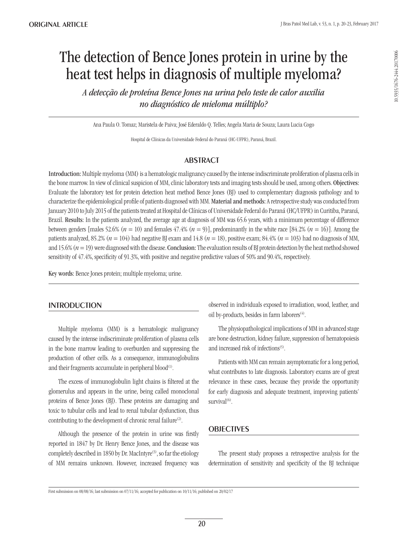# The detection of Bence Jones protein in urine by the heat test helps in diagnosis of multiple myeloma?

*A detecção de proteína Bence Jones na urina pelo teste de calor auxilia no diagnóstico de mieloma múltiplo?*

Ana Paula O. Tomaz; Maristela de Paiva; José Ederaldo Q. Telles; Angela Maria de Souza; Laura Lucia Cogo

Hospital de Clínicas da Universidade Federal do Paraná (HC-UFPR), Paraná, Brazil.

## **ABSTRACT**

Introduction: Multiple myeloma (MM) is a hematologic malignancy caused by the intense indiscriminate proliferation of plasma cells in the bone marrow. In view of clinical suspicion of MM, clinic laboratory tests and imaging tests should be used, among others. Objectives: Evaluate the laboratory test for protein detection heat method Bence Jones (BJ) used to complementary diagnosis pathology and to characterize the epidemiological profile of patients diagnosed with MM. Material and methods: A retrospective study was conducted from January 2010 to July 2015 of the patients treated at Hospital de Clínicas of Universidade Federal do Paraná (HC/UFPR) in Curitiba, Paraná, Brazil. Results: In the patients analyzed, the average age at diagnosis of MM was 65.6 years, with a minimum percentage of difference between genders [males 52.6%  $(n = 10)$  and females 47.4%  $(n = 9)$ ], predominantly in the white race [84.2%  $(n = 16)$ ]. Among the patients analyzed, 85.2% ( $n = 104$ ) had negative BJ exam and 14.8 ( $n = 18$ ), positive exam; 84.4% ( $n = 103$ ) had no diagnosis of MM, and 15.6%  $(n = 19)$  were diagnosed with the disease. Conclusion: The evaluation results of BJ protein detection by the heat method showed sensitivity of 47.4%, specificity of 91.3%, with positive and negative predictive values of 50% and 90.4%, respectively.

Key words: Bence Jones protein; multiple myeloma; urine.

#### **INTRODUCTION**

Multiple myeloma (MM) is a hematologic malignancy caused by the intense indiscriminate proliferation of plasma cells in the bone marrow leading to overburden and suppressing the production of other cells. As a consequence, immunoglobulins and their fragments accumulate in peripheral  $b$ lood<sup>(1)</sup>.

The excess of immunoglobulin light chains is filtered at the glomerulus and appears in the urine, being called monoclonal proteins of Bence Jones (BJ). These proteins are damaging and toxic to tubular cells and lead to renal tubular dysfunction, thus contributing to the development of chronic renal failure<sup>(2)</sup>.

Although the presence of the protein in urine was firstly reported in 1847 by Dr. Henry Bence Jones, and the disease was completely described in 1850 by Dr. MacIntyre<sup>(3)</sup>, so far the etiology of MM remains unknown. However, increased frequency was observed in individuals exposed to irradiation, wood, leather, and oil by-products, besides in farm laborers $(4)$ .

The physiopathological implications of MM in advanced stage are bone destruction, kidney failure, suppression of hematopoiesis and increased risk of infections<sup>(5)</sup>.

Patients with MM can remain asymptomatic for a long period, what contributes to late diagnosis. Laboratory exams are of great relevance in these cases, because they provide the opportunity for early diagnosis and adequate treatment, improving patients' survival<sup>(6)</sup>.

## **OBJECTIVES**

The present study proposes a retrospective analysis for the determination of sensitivity and specificity of the BJ technique

First submission on 08/08/16; last submission on 07/11/16; accepted for publication on 10/11/16; published on 20/02/17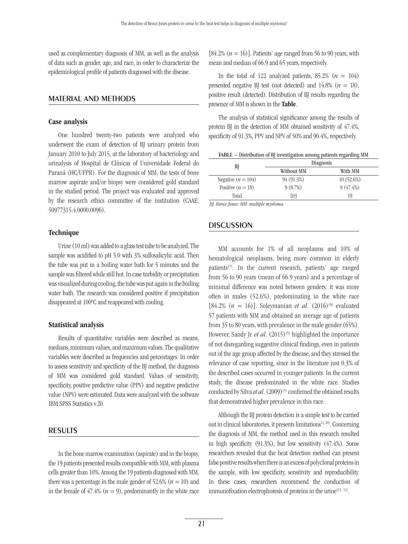used as complementary diagnosis of MM, as well as the analysis of data such as gender, age, and race, in order to characterize the epidemiological profile of patients diagnosed with the disease.

#### Material and methods

#### Case analysis

One hundred twenty-two patients were analyzed who underwent the exam of detection of BJ urinary protein from January 2010 to July 2015, at the laboratory of bacteriology and urinalysis of Hospital de Clínicas of Universidade Federal do Paraná (HC/UFPR). For the diagnosis of MM, the tests of bone marrow aspirate and/or biopsy were considered gold standard in the studied period. The project was evaluated and approved by the research ethics committee of the institution (CAAE: 50977315.4.0000.0096).

#### **Technique**

Urine (10 ml) was added to a glass test tube to be analyzed. The sample was acidified to pH 5.0 with 3% sulfosalicylic acid. Then the tube was put in a boiling water bath for 5 minutes and the sample was filtered while still hot. In case turbidity or precipitation was visualized during cooling, the tube was put again in the boiling water bath. The research was considered positive if precipitation disappeared at 100ºC and reappeared with cooling.

#### Statistical analysis

Results of quantitative variables were described as means, medians, minimum values, and maximum values. The qualitative variables were described as frequencies and percentages. In order to assess sensitivity and specificity of the BJ method, the diagnosis of MM was considered gold standard. Values of sensitivity, specificity, positive predictive value (PPV) and negative predictive value (NPV) were estimated. Data were analyzed with the software IBM SPSS Statistics v.20.

#### **RESULTS**

In the bone marrow examination (aspirate) and in the biopsy, the 19 patients presented results compatible with MM, with plasma cells greater than 10%. Among the 19 patients diagnosed with MM, there was a percentage in the male gender of  $52.6\%$  ( $n = 10$ ) and in the female of  $47.4\%$  ( $n = 9$ ), predominantly in the white race [84.2%  $(n = 16)$ ]. Patients' age ranged from 56 to 90 years, with mean and median of 66.9 and 65 years, respectively.

In the total of 122 analyzed patients,  $85.2\%$  ( $n = 104$ ) presented negative BJ test (not detected) and  $14.8\%$  ( $n = 18$ ), positive result (detected). Distribution of BJ results regarding the presence of MM is shown in the Table.

The analysis of statistical significance among the results of protein BJ in the detection of MM obtained sensitivity of 47.4%, specificity of 91.3%, PPV and NPV of 50% and 90.4%, respectively.

| TABLE - Distribution of BJ investigation among patients regarding MM |  |  |  |
|----------------------------------------------------------------------|--|--|--|
|----------------------------------------------------------------------|--|--|--|

| BJ                   | <b>Diagnosis</b> |             |
|----------------------|------------------|-------------|
|                      | Without MM       | With MM     |
| Negative $(n = 104)$ | 94 (91.3%)       | 10(52.6%)   |
| Positive $(n = 18)$  | 9(8.7%)          | $9(47.4\%)$ |
| Total                | 103              | 19          |
|                      |                  |             |

*BJ: Bence Jones; MM: multiple myeloma.*

## **DISCUSSION**

MM accounts for 1% of all neoplasms and 10% of hematological neoplasms, being more common in elderly patients<sup> $(7)$ </sup>. In the current research, patients' age ranged from 56 to 90 years (mean of 66.9 years) and a percentage of minimal difference was noted between genders: it was more often in males (52.6%), predominating in the white race [84.2%  $(n = 16)$ ]. Soleymanian *et al.*  $(2016)^{(8)}$  evaluated 57 patients with MM and obtained an average age of patients from 35 to 80 years, with prevalence in the male gender (65%). However, Sandy Jr. *et al.* (2015)<sup>(9)</sup> highlighted the importance of not disregarding suggestive clinical findings, even in patients out of the age group affected by the disease, and they stressed the relevance of case reporting, since in the literature just 0.3% of the described cases occurred in younger patients. In the current study, the disease predominated in the white race. Studies conducted by Silva *et al.* (2009)<sup>(5)</sup> confirmed the obtained results that demonstrated higher prevalence in this race.

Although the BJ protein detection is a simple test to be carried out in clinical laboratories, it presents limitations<sup>(2, 10)</sup>. Concerning the diagnosis of MM, the method used in this research resulted in high specificity (91.3%), but low sensitivity (47.4%). Some researchers revealed that the heat detection method can present false positive results when there is an excess of polyclonal proteins in the sample, with low specificity, sensitivity and reproducibility. In these cases, researchers recommend the conduction of immunofixation electrophoresis of proteins in the urine $(11, 12)$ .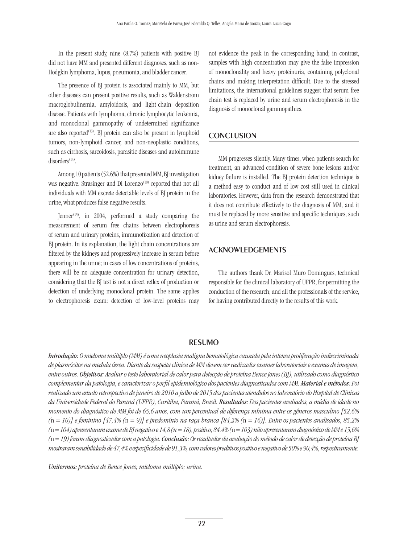In the present study, nine (8.7%) patients with positive BJ did not have MM and presented different diagnoses, such as non-Hodgkin lymphoma, lupus, pneumonia, and bladder cancer.

The presence of BJ protein is associated mainly to MM, but other diseases can present positive results, such as Waldenstrom macroglobulinemia, amyloidosis, and light-chain deposition disease. Patients with lymphoma, chronic lymphocytic leukemia, and monoclonal gammopathy of undetermined significance are also reported $(13)$ . BJ protein can also be present in lymphoid tumors, non-lymphoid cancer, and non-neoplastic conditions, such as cirrhosis, sarcoidosis, parasitic diseases and autoimmune disorders<sup>(14)</sup>.

Among 10 patients (52.6%) that presented MM, BJ investigation was negative. Strasinger and Di Lorenzo<sup>(10)</sup> reported that not all individuals with MM excrete detectable levels of BJ protein in the urine, what produces false negative results.

Jenner<sup>(15)</sup>, in 2004, performed a study comparing the measurement of serum free chains between electrophoresis of serum and urinary proteins, immunofixation and detection of BJ protein. In its explanation, the light chain concentrations are filtered by the kidneys and progressively increase in serum before appearing in the urine; in cases of low concentrations of proteins, there will be no adequate concentration for urinary detection, considering that the BJ test is not a direct reflex of production or detection of underlying monoclonal protein. The same applies to electrophoresis exam: detection of low-level proteins may

not evidence the peak in the corresponding band; in contrast, samples with high concentration may give the false impression of monoclonality and heavy proteinuria, containing polyclonal chains and making interpretation difficult. Due to the stressed limitations, the international guidelines suggest that serum free chain test is replaced by urine and serum electrophoresis in the diagnosis of monoclonal gammopathies.

## **CONCLUSION**

MM progresses silently. Many times, when patients search for treatment, an advanced condition of severe bone lesions and/or kidney failure is installed. The BJ protein detection technique is a method easy to conduct and of low cost still used in clinical laboratories. However, data from the research demonstrated that it does not contribute effectively to the diagnosis of MM, and it must be replaced by more sensitive and specific techniques, such as urine and serum electrophoresis.

## Acknowledgements

The authors thank Dr. Marisol Muro Domingues, technical responsible for the clinical laboratory of UFPR, for permitting the conduction of the research; and all the professionals of the service, for having contributed directly to the results of this work.

## **RESUMO**

*Introdução: O mieloma múltiplo (MM) é uma neoplasia maligna hematológica causada pela intensa proliferação indiscriminada de plasmócitos na medula óssea. Diante da suspeita clínica de MM devem ser realizados exames laboratoriais e exames de imagem, entre outros. Objetivos: Avaliar o teste laboratorial de calor para detecção de proteína Bence Jones (BJ), utilizado como diagnóstico complementar da patologia, e caracterizar o perfil epidemiológico dos pacientes diagnosticados com MM. Material e métodos: Foi realizado um estudo retrospectivo de janeiro de 2010 a julho de 2015 dos pacientes atendidos no laboratório do Hospital de Clínicas da Universidade Federal do Paraná (UFPR), Curitiba, Paraná, Brasil. Resultados: Dos pacientes avaliados, a média de idade no momento do diagnóstico de MM foi de 65,6 anos, com um percentual de diferença mínima entre os gêneros masculino [52,6% (*n *= 10)] e feminino [47,4% (*n *= 9)] e predomínio na raça branca [84,2% (*n *= 16)]. Entre os pacientes analisados, 85,2% (*n *= 104) apresentaram exame de BJ negativo e 14,8 (n = 18), positivo; 84,4% (*n *= 103) não apresentaram diagnóstico de MM e 15,6% (*n *= 19) foram diagnosticados com a patologia. Conclusão: Os resultados da avaliação do método de calor de detecção de proteína BJ mostraram sensibilidade de 47,4% e especificidade de 91,3%, com valores preditivos positivo e negativo de 50% e 90,4%, respectivamente.* 

*Unitermos: proteína de Bence Jones; mieloma múltiplo; urina.*